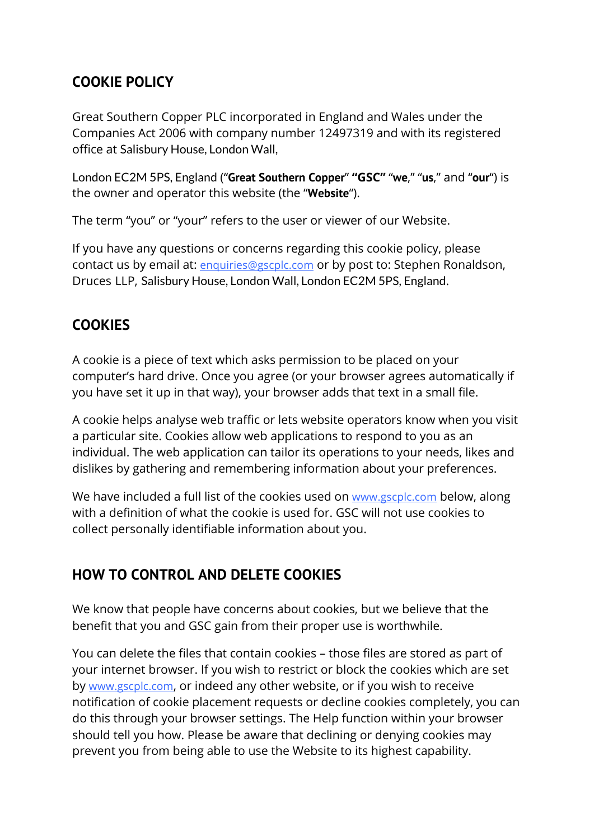## **COOKIE POLICY**

Great Southern Copper PLC incorporated in England and Wales under the Companies Act 2006 with company number 12497319 and with its registered office at Salisbury House, London Wall,

London EC2M 5PS, England ("**Great Southern Copper**" **"GSC"** "**we**," "**us**," and "**our**") is the owner and operator this website (the "**Website**").

The term "you" or "your" refers to the user or viewer of our Website.

If you have any questions or concerns regarding this cookie policy, please contact us by email at: enquiries@gscplc.com or by post to: Stephen Ronaldson, Druces LLP, Salisbury House, London Wall, London EC2M 5PS, England.

## **COOKIES**

A cookie is a piece of text which asks permission to be placed on your computer's hard drive. Once you agree (or your browser agrees automatically if you have set it up in that way), your browser adds that text in a small file.

A cookie helps analyse web traffic or lets website operators know when you visit a particular site. Cookies allow web applications to respond to you as an individual. The web application can tailor its operations to your needs, likes and dislikes by gathering and remembering information about your preferences.

We have included a full list of the cookies used on www.gscplc.com below, along with a definition of what the cookie is used for. GSC will not use cookies to collect personally identifiable information about you.

## **HOW TO CONTROL AND DELETE COOKIES**

We know that people have concerns about cookies, but we believe that the benefit that you and GSC gain from their proper use is worthwhile.

You can delete the files that contain cookies – those files are stored as part of your internet browser. If you wish to restrict or block the cookies which are set by www.gscplc.com, or indeed any other website, or if you wish to receive notification of cookie placement requests or decline cookies completely, you can do this through your browser settings. The Help function within your browser should tell you how. Please be aware that declining or denying cookies may prevent you from being able to use the Website to its highest capability.